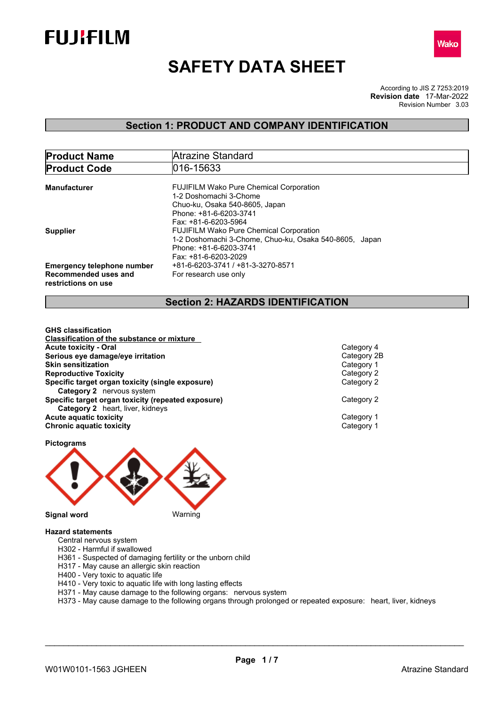



# **SAFETY DATA SHEET**

According to JIS Z 7253:2019 Revision Number 3.03 **Revision date** 17-Mar-2022

## **Section 1: PRODUCT AND COMPANY IDENTIFICATION**

| <b>Product Name</b>               | Atrazine Standard                                      |  |  |  |  |
|-----------------------------------|--------------------------------------------------------|--|--|--|--|
| <b>Product Code</b>               | 016-15633                                              |  |  |  |  |
|                                   |                                                        |  |  |  |  |
| Manufacturer                      | <b>FUJIFILM Wako Pure Chemical Corporation</b>         |  |  |  |  |
|                                   | 1-2 Doshomachi 3-Chome                                 |  |  |  |  |
|                                   | Chuo-ku, Osaka 540-8605, Japan                         |  |  |  |  |
|                                   | Phone: +81-6-6203-3741                                 |  |  |  |  |
|                                   | Fax: +81-6-6203-5964                                   |  |  |  |  |
| <b>Supplier</b>                   | <b>FUJIFILM Wako Pure Chemical Corporation</b>         |  |  |  |  |
|                                   | 1-2 Doshomachi 3-Chome, Chuo-ku, Osaka 540-8605, Japan |  |  |  |  |
|                                   | Phone: +81-6-6203-3741                                 |  |  |  |  |
|                                   | Fax: +81-6-6203-2029                                   |  |  |  |  |
| <b>Emergency telephone number</b> | +81-6-6203-3741 / +81-3-3270-8571                      |  |  |  |  |
| Recommended uses and              | For research use only                                  |  |  |  |  |
| restrictions on use               |                                                        |  |  |  |  |
|                                   |                                                        |  |  |  |  |

## **Section 2: HAZARDS IDENTIFICATION**

**GHS classification Classification of the substance or mixture Acute toxicity - Oral** Category 4 **Serious eye damage/eye irritation**<br> **Skin sensitization**<br>
Category 1 **Skin sensitization Reproductive Toxicity**<br> **Specific target organ toxicity (single exposure)**<br>
Category 2 **Specific target organ toxicity (single exposure) Category 2** nervous system **Specific target organ toxicity (repeated exposure)** Category 2 **Category 2** heart, liver, kidneys **Acute aquatic toxicity**<br> **Category 1**<br> **Chronic aquatic toxicity**<br> **Category 1 Chronic aquatic toxicity** 



#### **Hazard statements**

- Central nervous system
- H302 Harmful if swallowed
- H361 Suspected of damaging fertility or the unborn child
- H317 May cause an allergic skin reaction
- H400 Very toxic to aquatic life
- H410 Very toxic to aquatic life with long lasting effects
- H371 May cause damage to the following organs: nervous system
- H373 May cause damage to the following organs through prolonged or repeated exposure: heart, liver, kidneys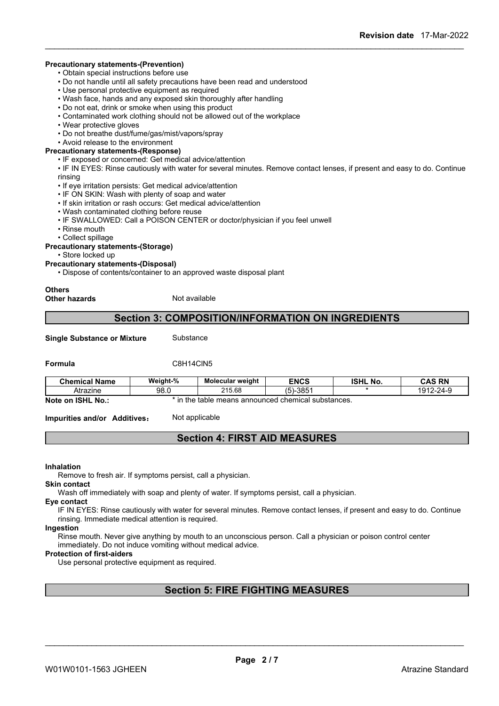#### **Precautionary statements-(Prevention)**

• Obtain special instructions before use

- Do not handle until all safety precautions have been read and understood
- Use personal protective equipment as required
- Wash face, hands and any exposed skin thoroughly after handling
- Do not eat, drink or smoke when using this product
- Contaminated work clothing should not be allowed out of the workplace
- Wear protective gloves
- Do not breathe dust/fume/gas/mist/vapors/spray
- Avoid release to the environment

#### **Precautionary statements-(Response)**

• IF exposed or concerned: Get medical advice/attention

• IF IN EYES: Rinse cautiously with water for several minutes. Remove contact lenses, if present and easy to do. Continue rinsing

- If eye irritation persists: Get medical advice/attention
- IF ON SKIN: Wash with plenty of soap and water
- If skin irritation or rash occurs: Get medical advice/attention
- Wash contaminated clothing before reuse
- IF SWALLOWED: Call a POISON CENTER or doctor/physician if you feel unwell
- Rinse mouth
- Collect spillage

#### **Precautionary statements-(Storage)**

• Store locked up

**Precautionary statements-(Disposal)**

• Dispose of contents/container to an approved waste disposal plant

#### **Others**

**Other hazards** Not available

### **Section 3: COMPOSITION/INFORMATION ON INGREDIENTS**

**Single Substance or Mixture** Substance

**Formula** C8H14ClN5

| <b>Chemical Name</b>                            | Weight-%     | Molecular weight                           | <b>ENCS</b>   | <b>ISHL</b><br>No. | <b>CAS RN</b>        |
|-------------------------------------------------|--------------|--------------------------------------------|---------------|--------------------|----------------------|
| Atrazıne                                        | QR 1<br>JU.U | 215.68                                     | $-385$<br>י ה |                    | $2 - 24 - c$<br>1012 |
| <b>ISHL</b><br>No.:<br><b>Note</b><br><b>on</b> | ın<br>the    | table means announced chemical substances. |               |                    |                      |

**Impurities and/or Additives:** Not applicable

## **Section 4: FIRST AID MEASURES**

#### **Inhalation**

Remove to fresh air. If symptoms persist, call a physician.

**Skin contact**

Wash off immediately with soap and plenty of water. If symptoms persist, call a physician.

**Eye contact**

IF IN EYES: Rinse cautiously with water for several minutes. Remove contact lenses, if present and easy to do. Continue rinsing. Immediate medical attention is required.

## **Ingestion**

Rinse mouth. Never give anything by mouth to an unconscious person. Call a physician or poison control center immediately. Do not induce vomiting without medical advice.

### **Protection of first-aiders**

Use personal protective equipment as required.

## **Section 5: FIRE FIGHTING MEASURES**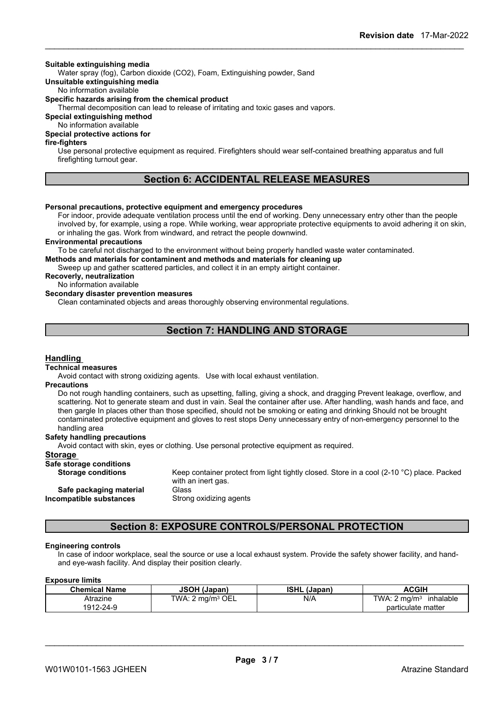#### **Suitable extinguishing media**

Water spray (fog), Carbon dioxide (CO2), Foam, Extinguishing powder, Sand

### **Unsuitable extinguishing media**

No information available

## **Specific hazards arising from the chemical product**

Thermal decomposition can lead to release of irritating and toxic gases and vapors.

## **Special extinguishing method**

#### No information available **Special protective actions for**

## **fire-fighters**

Use personal protective equipment as required.Firefighters should wear self-contained breathing apparatus and full firefighting turnout gear.

## **Section 6: ACCIDENTAL RELEASE MEASURES**

#### **Personal precautions, protective equipment and emergency procedures**

For indoor, provide adequate ventilation process until the end of working. Deny unnecessary entry other than the people involved by, for example, using a rope. While working, wear appropriate protective equipments to avoid adhering it on skin, or inhaling the gas. Work from windward, and retract the people downwind.

#### **Environmental precautions**

To be careful not discharged to the environment without being properly handled waste water contaminated. **Methods and materials for contaminent and methods and materials for cleaning up**

Sweep up and gather scattered particles, and collect it in an empty airtight container.

**Recoverly, neutralization**

#### No information available

#### **Secondary disaster prevention measures**

Clean contaminated objects and areas thoroughly observing environmental regulations.

## **Section 7: HANDLING AND STORAGE**

#### **Handling**

#### **Technical measures**

Avoid contact with strong oxidizing agents. Use with local exhaust ventilation.

#### **Precautions**

Do not rough handling containers, such as upsetting, falling, giving a shock, and dragging Prevent leakage, overflow, and scattering. Not to generate steam and dust in vain. Seal the container after use. After handling, wash hands and face, and then gargle In places other than those specified, should not be smoking or eating and drinking Should not be brought contaminated protective equipment and gloves to rest stops Deny unnecessary entry of non-emergency personnel to the handling area

#### **Safety handling precautions**

Avoid contact with skin, eyes or clothing. Use personal protective equipment as required.

#### **Storage**

**Incompa** 

## **Safe storage conditions**

| <b>Storage conditions</b> | Keep container protect from light tightly closed. Store in a cool (2-10 °C) place. Packed |
|---------------------------|-------------------------------------------------------------------------------------------|
|                           | with an inert gas.                                                                        |
| Safe packaging material   | Glass                                                                                     |
| ompatible substances      | Strong oxidizing agents                                                                   |

## **Section 8: EXPOSURE CONTROLS/PERSONAL PROTECTION**

#### **Engineering controls**

In case of indoor workplace, seal the source or use a local exhaust system. Provide the safety shower facility, and handand eye-wash facility. And display their position clearly.

#### **Exposure limits**

| <b>Chemical Name</b> | <b>JSOH (Japan)</b>        | <b>ISHL</b><br>. (Japan) | <b>ACGIH</b>                          |
|----------------------|----------------------------|--------------------------|---------------------------------------|
| Atrazıne             | `OEL<br>TWA: ∠<br>∶ma/mª ( | N/A                      | TWA: 2 ma/m <sup>3</sup><br>inhalable |
| 1912-24-9            |                            |                          | particulate matter                    |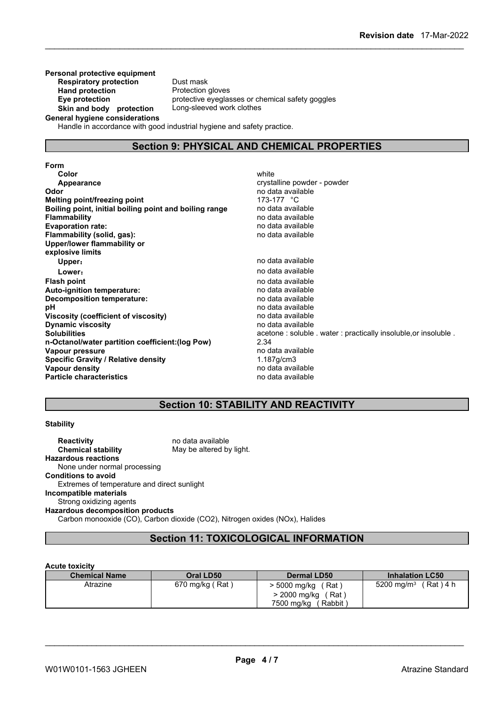**Personal protective equipment Respiratory protection** Dust mask **Hand protection** Protection gloves **Skin and body protection** Long-sleeved work clothes

**Eye protection** protective eyeglasses or chemical safety goggles

**General hygiene considerations**

Handle in accordance with good industrial hygiene and safety practice.

## **Section 9: PHYSICAL AND CHEMICAL PROPERTIES**

**Form Color** white **Color** white **Color** white **Color** white **Color** white **Color Color Color Color Color Color Color Color Color Color Color Color Color Color Color Color Color Color Color Appearance** crystalline powder - powder **Odor Odor** no data available **no data available no data available no data available no data available no data available no data available no data available no data available no data available no data a Melting point/freezing point Boiling point, initial boiling point and boiling range** no data available **Flammability no data available**<br> **Evaporation rate:** The contract of the contract of the contract of the contract of the contract of the contract of the contract of the contract of the contract of the contract of the co **Evaporation** rate: **Flammability (solid, gas):** no data available **Upper/lower flammability or explosive limits Upper**: **no data available Lower:** no data available **Flash point** no data available **Auto-ignition temperature:**<br> **Decomposition temperature:** National Section of the composition temperature:<br>
Decomposition temperature: **Decomposition temperature: pH** no data available<br> **Viscosity (coefficient of viscosity)** no data available<br>
no data available **Viscosity (coefficient of viscosity)** no data available **Dynamic** viscosity **Solubilities**<br> **n-Octanol/water partition coefficient:(log Pow)** <br>
2.34<br>
2.34 **n-Octanol/water partition coefficient:(log Pow)** 2.34 **Vapour pressure**<br> **Specific Gravity / Relative density**<br> **Properties 1.187g/cm3 Specific Gravity / Relative density Vapour density**<br> **Particle characteristics**<br> **Particle characteristics**<br> **Particle characteristics Particle characteristics** 

## **Section 10: STABILITY AND REACTIVITY**

#### **Stability**

**Reactivity no data available Chemical stability** May be altered by light. **Hazardous reactions** None under normal processing **Conditions to avoid** Extremes of temperature and direct sunlight **Incompatible materials** Strong oxidizing agents **Hazardous decomposition products** Carbon monooxide (CO), Carbon dioxide (CO2), Nitrogen oxides (NOx), Halides

## **Section 11: TOXICOLOGICAL INFORMATION**

#### **Acute toxicity**

| <b>Chemical Name</b> | Oral LD50       | <b>Dermal LD50</b>                                                    | <b>Inhalation LC50</b>             |
|----------------------|-----------------|-----------------------------------------------------------------------|------------------------------------|
| Atrazine             | 670 mg/kg (Rat) | 5000 mg/kg<br>(Rat ˈ<br>> 2000 mg/kg<br>(Rat)<br>7500 mg/kg<br>Rabbit | 5200 mg/m <sup>3</sup><br>(Rat)4 h |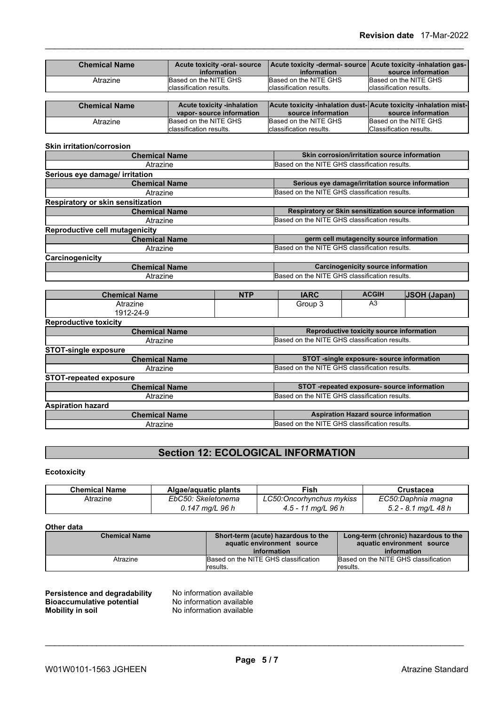| <b>Chemical Name</b> | Acute toxicity -oral- source<br>information                   | Acute toxicity -dermal- source   Acute toxicity -inhalation gas-  <br>information      | source information                                       |
|----------------------|---------------------------------------------------------------|----------------------------------------------------------------------------------------|----------------------------------------------------------|
| Atrazine             | Based on the NITE GHS<br>classification results               | Based on the NITE GHS<br>Iclassification results.                                      | Based on the NITE GHS<br><b>Iclassification results.</b> |
|                      |                                                               |                                                                                        |                                                          |
| <b>Chemical Name</b> | <b>Acute toxicity -inhalation</b><br>vapor-source information | Acute toxicity -inhalation dust-Acute toxicity -inhalation mist-<br>source information | source information                                       |

| $\cdot$<br>Classification results.<br>า results.<br><b>Iclassification</b><br>Iclassification results. |
|--------------------------------------------------------------------------------------------------------|
|--------------------------------------------------------------------------------------------------------|

| <b>Skin irritation/corrosion</b>         |                                                      |
|------------------------------------------|------------------------------------------------------|
| <b>Chemical Name</b>                     | Skin corrosion/irritation source information         |
| Atrazine                                 | Based on the NITE GHS classification results.        |
| Serious eye damage/ irritation           |                                                      |
| <b>Chemical Name</b>                     | Serious eye damage/irritation source information     |
| Atrazine                                 | Based on the NITE GHS classification results.        |
| <b>Respiratory or skin sensitization</b> |                                                      |
| <b>Chemical Name</b>                     | Respiratory or Skin sensitization source information |
| Atrazine                                 | Based on the NITE GHS classification results.        |
| Reproductive cell mutagenicity           |                                                      |
| <b>Chemical Name</b>                     | germ cell mutagencity source information             |
| Atrazine                                 | Based on the NITE GHS classification results.        |
| Carcinogenicity                          |                                                      |
| <b>Chemical Name</b>                     | <b>Carcinogenicity source information</b>            |
| Atrazine                                 | Based on the NITE GHS classification results.        |

| <b>Chemical Name</b>          | <b>NTP</b> | <b>IARC</b>                                   | <b>ACGIH</b>                                  | <b>JSOH (Japan)</b> |  |
|-------------------------------|------------|-----------------------------------------------|-----------------------------------------------|---------------------|--|
| Atrazine                      |            | Group 3                                       | A3                                            |                     |  |
| 1912-24-9                     |            |                                               |                                               |                     |  |
| <b>Reproductive toxicity</b>  |            |                                               |                                               |                     |  |
| <b>Chemical Name</b>          |            |                                               | Reproductive toxicity source information      |                     |  |
| Atrazine                      |            | Based on the NITE GHS classification results. |                                               |                     |  |
| <b>STOT-single exposure</b>   |            |                                               |                                               |                     |  |
| <b>Chemical Name</b>          |            |                                               | STOT -single exposure- source information     |                     |  |
| Atrazine                      |            |                                               | Based on the NITE GHS classification results. |                     |  |
| <b>STOT-repeated exposure</b> |            |                                               |                                               |                     |  |
| <b>Chemical Name</b>          |            |                                               | STOT -repeated exposure- source information   |                     |  |
| Atrazine                      |            | Based on the NITE GHS classification results. |                                               |                     |  |
| <b>Aspiration hazard</b>      |            |                                               |                                               |                     |  |
| <b>Chemical Name</b>          |            |                                               | <b>Aspiration Hazard source information</b>   |                     |  |
| Atrazine                      |            | Based on the NITE GHS classification results. |                                               |                     |  |

## **Section 12: ECOLOGICAL INFORMATION**

## **Ecotoxicity**

| <b>Chemical Name</b> | Algae/aguatic plants | Fish                      | Crustacea             |
|----------------------|----------------------|---------------------------|-----------------------|
| Atrazine             | EbC50: Skeletonema   | LC50: Oncorhynchus mykiss | EC50:Daphnia magna    |
|                      | 0.147 mg/L 96 h      | 1 mg/L 96 h<br>$4.5 - 11$ | $5.2 - 8.1$ mg/L 48 h |

#### **Other data**

| <b>Chemical Name</b> | Short-term (acute) hazardous to the<br>aquatic environment source<br>information | Long-term (chronic) hazardous to the<br>aquatic environment source<br>information |
|----------------------|----------------------------------------------------------------------------------|-----------------------------------------------------------------------------------|
| Atrazine             | Based on the NITE GHS classification<br>results.                                 | Based on the NITE GHS classification<br>lresults.                                 |

#### **Persistence and degradability** No information available **Bioaccumulative potential** No information available **Mobility** in soil No information available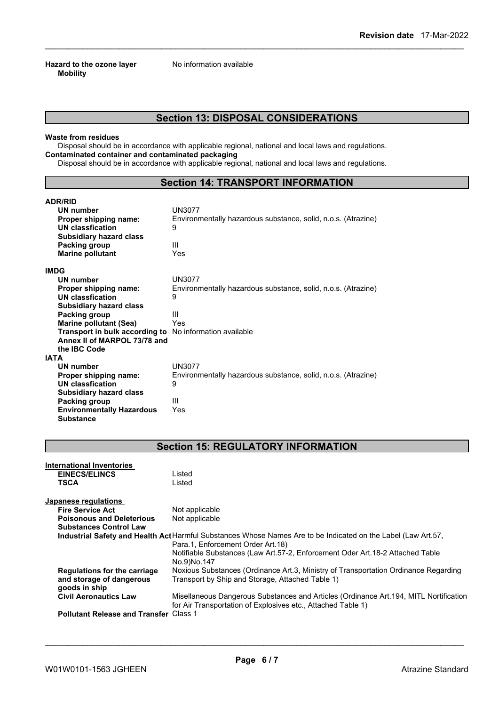**Hazard to the ozone layer** No information available **Mobility**

## **Section 13: DISPOSAL CONSIDERATIONS**

#### **Waste from residues**

Disposal should be in accordance with applicable regional, national and local laws and regulations. **Contaminated container and contaminated packaging**

Disposal should be in accordance with applicable regional, national and local laws and regulations.

## **Section 14: TRANSPORT INFORMATION**

| <b>ADR/RID</b>                                                 |                                                               |
|----------------------------------------------------------------|---------------------------------------------------------------|
| <b>UN number</b>                                               | <b>UN3077</b>                                                 |
| Proper shipping name:                                          | Environmentally hazardous substance, solid, n.o.s. (Atrazine) |
| UN classfication                                               | 9                                                             |
| <b>Subsidiary hazard class</b>                                 |                                                               |
| Packing group                                                  | Ш                                                             |
| <b>Marine pollutant</b>                                        | Yes                                                           |
| <b>IMDG</b>                                                    |                                                               |
| UN number                                                      | <b>UN3077</b>                                                 |
| Proper shipping name:                                          | Environmentally hazardous substance, solid, n.o.s. (Atrazine) |
| UN classfication                                               | 9                                                             |
| <b>Subsidiary hazard class</b>                                 |                                                               |
| Packing group                                                  | Ш                                                             |
| <b>Marine pollutant (Sea)</b>                                  | Yes                                                           |
| <b>Transport in bulk according to</b> No information available |                                                               |
| Annex II of MARPOL 73/78 and                                   |                                                               |
| the IBC Code                                                   |                                                               |
| <b>IATA</b>                                                    |                                                               |
| UN number                                                      | UN3077                                                        |
| Proper shipping name:                                          | Environmentally hazardous substance, solid, n.o.s. (Atrazine) |
| UN classfication                                               | 9                                                             |
| <b>Subsidiary hazard class</b>                                 |                                                               |
| Packing group                                                  | Ш                                                             |
| <b>Environmentally Hazardous</b>                               | Yes                                                           |
| <b>Substance</b>                                               |                                                               |

## **Section 15: REGULATORY INFORMATION**

| Japanese regulations<br>Not applicable<br><b>Fire Service Act</b><br>Not applicable<br><b>Poisonous and Deleterious</b><br><b>Substances Control Law</b><br>Industrial Safety and Health Act Harmful Substances Whose Names Are to be Indicated on the Label (Law Art.57,<br>Para.1, Enforcement Order Art.18)<br>Notifiable Substances (Law Art.57-2, Enforcement Oder Art.18-2 Attached Table<br>No.9)No.147<br>Noxious Substances (Ordinance Art.3, Ministry of Transportation Ordinance Regarding<br><b>Regulations for the carriage</b><br>Transport by Ship and Storage, Attached Table 1)<br>and storage of dangerous<br>goods in ship<br>Misellaneous Dangerous Substances and Articles (Ordinance Art. 194, MITL Nortification<br><b>Civil Aeronautics Law</b><br>for Air Transportation of Explosives etc., Attached Table 1)<br><b>Pollutant Release and Transfer Class 1</b> |  | <b>International Inventories</b><br><b>EINECS/ELINCS</b><br>TSCA | Listed<br>Listed |  |  |  |
|------------------------------------------------------------------------------------------------------------------------------------------------------------------------------------------------------------------------------------------------------------------------------------------------------------------------------------------------------------------------------------------------------------------------------------------------------------------------------------------------------------------------------------------------------------------------------------------------------------------------------------------------------------------------------------------------------------------------------------------------------------------------------------------------------------------------------------------------------------------------------------------|--|------------------------------------------------------------------|------------------|--|--|--|
|                                                                                                                                                                                                                                                                                                                                                                                                                                                                                                                                                                                                                                                                                                                                                                                                                                                                                          |  |                                                                  |                  |  |  |  |
|                                                                                                                                                                                                                                                                                                                                                                                                                                                                                                                                                                                                                                                                                                                                                                                                                                                                                          |  |                                                                  |                  |  |  |  |
|                                                                                                                                                                                                                                                                                                                                                                                                                                                                                                                                                                                                                                                                                                                                                                                                                                                                                          |  |                                                                  |                  |  |  |  |
|                                                                                                                                                                                                                                                                                                                                                                                                                                                                                                                                                                                                                                                                                                                                                                                                                                                                                          |  |                                                                  |                  |  |  |  |
|                                                                                                                                                                                                                                                                                                                                                                                                                                                                                                                                                                                                                                                                                                                                                                                                                                                                                          |  |                                                                  |                  |  |  |  |
|                                                                                                                                                                                                                                                                                                                                                                                                                                                                                                                                                                                                                                                                                                                                                                                                                                                                                          |  |                                                                  |                  |  |  |  |
|                                                                                                                                                                                                                                                                                                                                                                                                                                                                                                                                                                                                                                                                                                                                                                                                                                                                                          |  |                                                                  |                  |  |  |  |
|                                                                                                                                                                                                                                                                                                                                                                                                                                                                                                                                                                                                                                                                                                                                                                                                                                                                                          |  |                                                                  |                  |  |  |  |
|                                                                                                                                                                                                                                                                                                                                                                                                                                                                                                                                                                                                                                                                                                                                                                                                                                                                                          |  |                                                                  |                  |  |  |  |
|                                                                                                                                                                                                                                                                                                                                                                                                                                                                                                                                                                                                                                                                                                                                                                                                                                                                                          |  |                                                                  |                  |  |  |  |
|                                                                                                                                                                                                                                                                                                                                                                                                                                                                                                                                                                                                                                                                                                                                                                                                                                                                                          |  |                                                                  |                  |  |  |  |